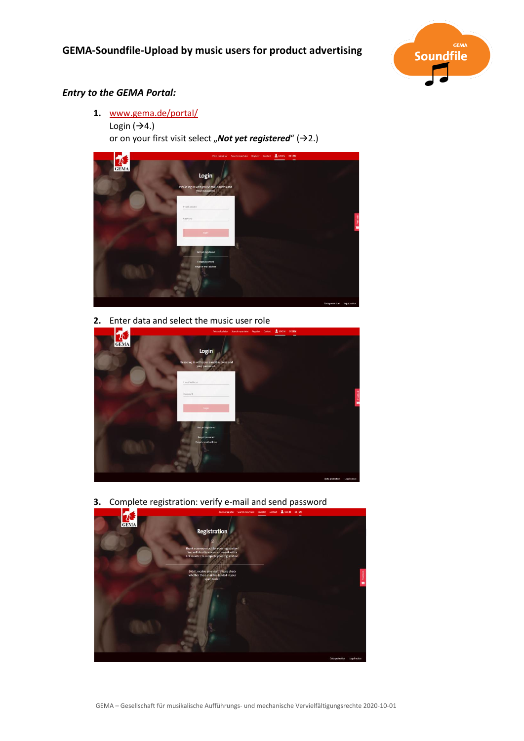

## *Entry to the GEMA Portal:*

**1.** [www.gema.de/portal/](https://www.gema.de/portal/app/register) Login  $(\rightarrow 4.)$ or on your first visit select "**Not yet registered**" (>2.)



**2.** Enter data and select the music user role



**3.** Complete registration: verify e-mail and send password

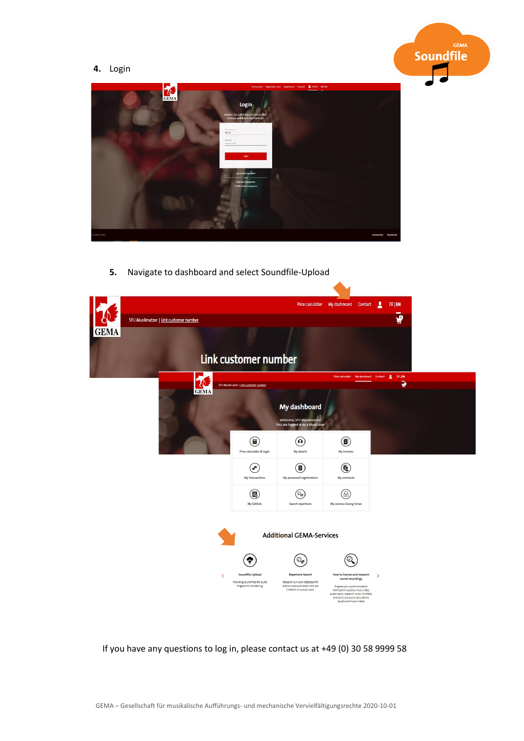## **4.** Login





**5.** Navigate to dashboard and select Soundfile-Upload



If you have any questions to log in, please contact us at +49 (0) 30 58 9999 58